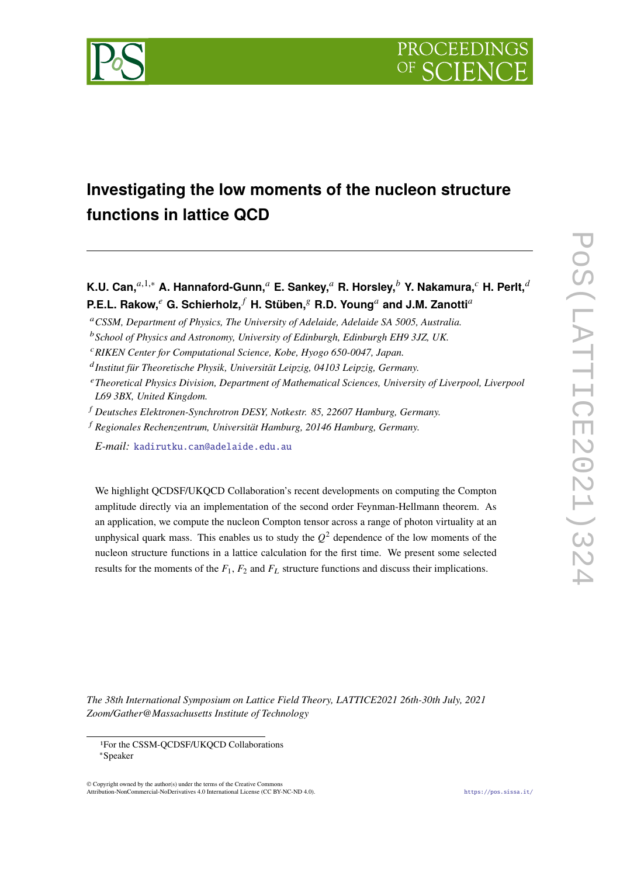

# **Investigating the low moments of the nucleon structure functions in lattice QCD**

**K.U. Can,**<sup>a,1,∗</sup> **A. Hannaford-Gunn,**<sup>a</sup> **E. Sankey,<sup>a</sup> R. Horsley,<sup>b</sup> Y. Nakamura,<sup>c</sup> H. Perlt,<sup>d</sup> P.E.L. Rakow, <sup>***e***</sup> G. Schierholz, <sup>***f***</sup> H. Stüben, <sup>***g***</sup> R.D. Young<sup>***a***</sup> and J.M. Zanotti<sup>***a***</sup>** 

- *CSSM, Department of Physics, The University of Adelaide, Adelaide SA 5005, Australia.*
- *School of Physics and Astronomy, University of Edinburgh, Edinburgh EH9 3JZ, UK.*
- *RIKEN Center for Computational Science, Kobe, Hyogo 650-0047, Japan.*
- *Institut für Theoretische Physik, Universität Leipzig, 04103 Leipzig, Germany.*
- *Theoretical Physics Division, Department of Mathematical Sciences, University of Liverpool, Liverpool L69 3BX, United Kingdom.*
- *Deutsches Elektronen-Synchrotron DESY, Notkestr. 85, 22607 Hamburg, Germany.*
- *Regionales Rechenzentrum, Universität Hamburg, 20146 Hamburg, Germany.*
	- *E-mail:* [kadirutku.can@adelaide.edu.au](mailto:kadirutku.can@adelaide.edu.au)

We highlight QCDSF/UKQCD Collaboration's recent developments on computing the Compton amplitude directly via an implementation of the second order Feynman-Hellmann theorem. As an application, we compute the nucleon Compton tensor across a range of photon virtuality at an unphysical quark mass. This enables us to study the  $Q^2$  dependence of the low moments of the nucleon structure functions in a lattice calculation for the first time. We present some selected results for the moments of the  $F_1$ ,  $F_2$  and  $F_L$  structure functions and discuss their implications.

POS(LATTICE2021)32 PoS(LATTICE2021)324

 $\overline{\phantom{0}}$ 

*The 38th International Symposium on Lattice Field Theory, LATTICE2021 26th-30th July, 2021 Zoom/Gather@Massachusetts Institute of Technology*

© Copyright owned by the author(s) under the terms of the Creative Commons Attribution-NonCommercial-NoDerivatives 4.0 International License (CC BY-NC-ND 4.0). <https://pos.sissa.it/>

<sup>1</sup>For the CSSM-QCDSF/UKQCD Collaborations

<sup>∗</sup>Speaker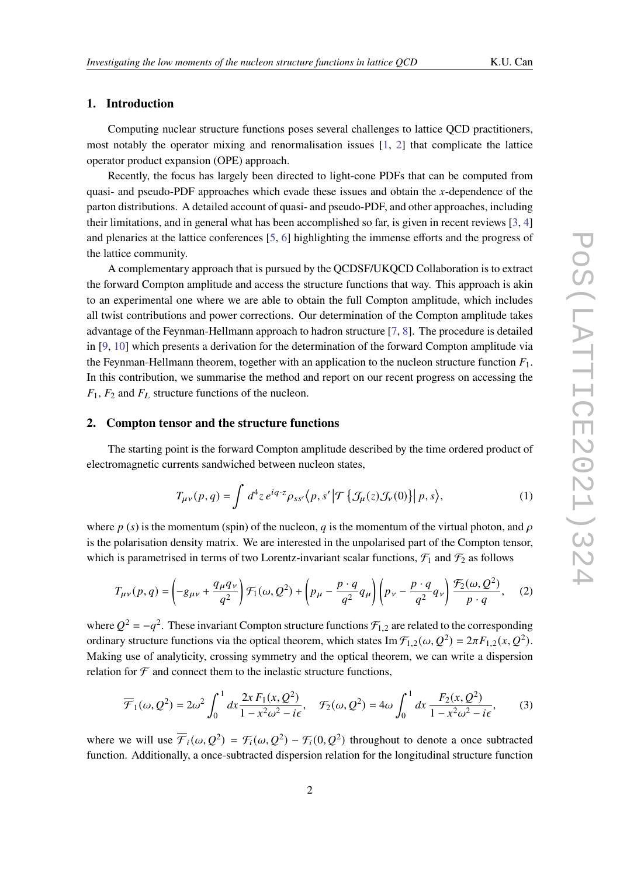# **1. Introduction**

Computing nuclear structure functions poses several challenges to lattice QCD practitioners, most notably the operator mixing and renormalisation issues  $[1, 2]$  $[1, 2]$  $[1, 2]$  that complicate the lattice operator product expansion (OPE) approach.

Recently, the focus has largely been directed to light-cone PDFs that can be computed from quasi- and pseudo-PDF approaches which evade these issues and obtain the  $x$ -dependence of the parton distributions. A detailed account of quasi- and pseudo-PDF, and other approaches, including their limitations, and in general what has been accomplished so far, is given in recent reviews [\[3,](#page-6-2) [4\]](#page-7-0) and plenaries at the lattice conferences [\[5,](#page-7-1) [6\]](#page-7-2) highlighting the immense efforts and the progress of the lattice community.

A complementary approach that is pursued by the QCDSF/UKQCD Collaboration is to extract the forward Compton amplitude and access the structure functions that way. This approach is akin to an experimental one where we are able to obtain the full Compton amplitude, which includes all twist contributions and power corrections. Our determination of the Compton amplitude takes advantage of the Feynman-Hellmann approach to hadron structure [\[7,](#page-7-3) [8\]](#page-7-4). The procedure is detailed in [\[9,](#page-7-5) [10\]](#page-7-6) which presents a derivation for the determination of the forward Compton amplitude via the Feynman-Hellmann theorem, together with an application to the nucleon structure function  $F_1$ . In this contribution, we summarise the method and report on our recent progress on accessing the  $F_1$ ,  $F_2$  and  $F_L$  structure functions of the nucleon.

#### **2. Compton tensor and the structure functions**

The starting point is the forward Compton amplitude described by the time ordered product of electromagnetic currents sandwiched between nucleon states,

<span id="page-1-1"></span><span id="page-1-0"></span>
$$
T_{\mu\nu}(p,q) = \int d^4 z \, e^{iq \cdot z} \rho_{ss'}(p,s' | \mathcal{T} \left\{ \mathcal{J}_{\mu}(z) \mathcal{J}_{\nu}(0) \right\} | p,s \rangle, \tag{1}
$$

where  $p(s)$  is the momentum (spin) of the nucleon, q is the momentum of the virtual photon, and  $\rho$ is the polarisation density matrix. We are interested in the unpolarised part of the Compton tensor, which is parametrised in terms of two Lorentz-invariant scalar functions,  $\mathcal{F}_1$  and  $\mathcal{F}_2$  as follows

$$
T_{\mu\nu}(p,q) = \left(-g_{\mu\nu} + \frac{q_{\mu}q_{\nu}}{q^2}\right)\mathcal{F}_1(\omega, Q^2) + \left(p_{\mu} - \frac{p \cdot q}{q^2}q_{\mu}\right)\left(p_{\nu} - \frac{p \cdot q}{q^2}q_{\nu}\right)\frac{\mathcal{F}_2(\omega, Q^2)}{p \cdot q},\tag{2}
$$

where  $Q^2 = -q^2$ . These invariant Compton structure functions  $\mathcal{F}_{1,2}$  are related to the corresponding ordinary structure functions via the optical theorem, which states  $\text{Im } \mathcal{F}_{1,2}(\omega, Q^2) = 2\pi F_{1,2}(x, Q^2)$ . Making use of analyticity, crossing symmetry and the optical theorem, we can write a dispersion relation for  $\mathcal F$  and connect them to the inelastic structure functions,

<span id="page-1-2"></span>
$$
\overline{\mathcal{F}}_1(\omega, Q^2) = 2\omega^2 \int_0^1 dx \frac{2x F_1(x, Q^2)}{1 - x^2 \omega^2 - i\epsilon}, \quad \mathcal{F}_2(\omega, Q^2) = 4\omega \int_0^1 dx \frac{F_2(x, Q^2)}{1 - x^2 \omega^2 - i\epsilon},
$$
(3)

where we will use  $\overline{\mathcal{F}}_i(\omega, Q^2) = \mathcal{F}_i(\omega, Q^2) - \mathcal{F}_i(0, Q^2)$  throughout to denote a once subtracted function. Additionally, a once-subtracted dispersion relation for the longitudinal structure function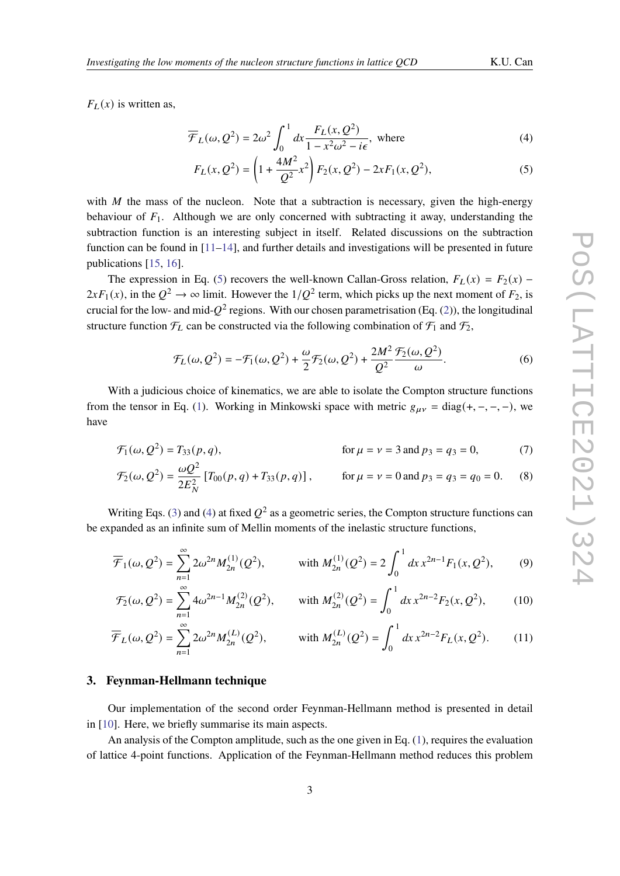<span id="page-2-1"></span><span id="page-2-0"></span>

 $F_L(x)$  is written as,

$$
\overline{\mathcal{F}}_L(\omega, \mathcal{Q}^2) = 2\omega^2 \int_0^1 dx \frac{F_L(x, \mathcal{Q}^2)}{1 - x^2 \omega^2 - i\epsilon}, \text{ where}
$$
\n(4)

$$
F_L(x, Q^2) = \left(1 + \frac{4M^2}{Q^2}x^2\right)F_2(x, Q^2) - 2xF_1(x, Q^2),\tag{5}
$$

with  $M$  the mass of the nucleon. Note that a subtraction is necessary, given the high-energy behaviour of  $F_1$ . Although we are only concerned with subtracting it away, understanding the subtraction function is an interesting subject in itself. Related discussions on the subtraction function can be found in  $[11-14]$  $[11-14]$ , and further details and investigations will be presented in future publications [\[15,](#page-7-9) [16\]](#page-7-10).

The expression in Eq. [\(5\)](#page-2-0) recovers the well-known Callan-Gross relation,  $F_L(x) = F_2(x)$  –  $2xF_1(x)$ , in the  $Q^2 \to \infty$  limit. However the  $1/Q^2$  term, which picks up the next moment of  $F_2$ , is crucial for the low- and mid- $Q^2$  regions. With our chosen parametrisation (Eq. [\(2\)](#page-1-0)), the longitudinal structure function  $\mathcal{F}_L$  can be constructed via the following combination of  $\mathcal{F}_1$  and  $\mathcal{F}_2$ ,

<span id="page-2-5"></span><span id="page-2-4"></span><span id="page-2-3"></span><span id="page-2-2"></span>
$$
\mathcal{F}_L(\omega, Q^2) = -\mathcal{F}_1(\omega, Q^2) + \frac{\omega}{2}\mathcal{F}_2(\omega, Q^2) + \frac{2M^2}{Q^2}\frac{\mathcal{F}_2(\omega, Q^2)}{\omega}.
$$
\n<sup>(6)</sup>

With a judicious choice of kinematics, we are able to isolate the Compton structure functions from the tensor in Eq. [\(1\)](#page-1-1). Working in Minkowski space with metric  $g_{\mu\nu} = \text{diag}(+,-,-,-)$ , we have

$$
\mathcal{F}_1(\omega, Q^2) = T_{33}(p, q), \qquad \text{for } \mu = \nu = 3 \text{ and } p_3 = q_3 = 0,
$$
 (7)

$$
\mathcal{F}_2(\omega, Q^2) = \frac{\omega Q^2}{2E_N^2} \left[ T_{00}(p, q) + T_{33}(p, q) \right], \qquad \text{for } \mu = \nu = 0 \text{ and } p_3 = q_3 = q_0 = 0. \tag{8}
$$

Writing Eqs. [\(3\)](#page-1-2) and [\(4\)](#page-2-1) at fixed  $Q^2$  as a geometric series, the Compton structure functions can be expanded as an infinite sum of Mellin moments of the inelastic structure functions,

$$
\overline{\mathcal{F}}_1(\omega, \mathcal{Q}^2) = \sum_{n=1}^{\infty} 2\omega^{2n} M_{2n}^{(1)}(\mathcal{Q}^2), \qquad \text{with } M_{2n}^{(1)}(\mathcal{Q}^2) = 2 \int_0^1 dx \, x^{2n-1} F_1(x, \mathcal{Q}^2), \qquad (9)
$$

<span id="page-2-6"></span>
$$
\mathcal{F}_2(\omega, \mathcal{Q}^2) = \sum_{n=1}^{\infty} 4\omega^{2n-1} M_{2n}^{(2)}(\mathcal{Q}^2), \quad \text{with } M_{2n}^{(2)}(\mathcal{Q}^2) = \int_0^1 dx \, x^{2n-2} F_2(x, \mathcal{Q}^2), \quad (10)
$$

$$
\overline{\mathcal{F}}_L(\omega, \mathcal{Q}^2) = \sum_{n=1}^{\infty} 2\omega^{2n} M_{2n}^{(L)}(\mathcal{Q}^2), \qquad \text{with } M_{2n}^{(L)}(\mathcal{Q}^2) = \int_0^1 dx \, x^{2n-2} F_L(x, \mathcal{Q}^2). \tag{11}
$$

## **3. Feynman-Hellmann technique**

Our implementation of the second order Feynman-Hellmann method is presented in detail in [\[10\]](#page-7-6). Here, we briefly summarise its main aspects.

An analysis of the Compton amplitude, such as the one given in Eq. [\(1\)](#page-1-1), requires the evaluation of lattice 4-point functions. Application of the Feynman-Hellmann method reduces this problem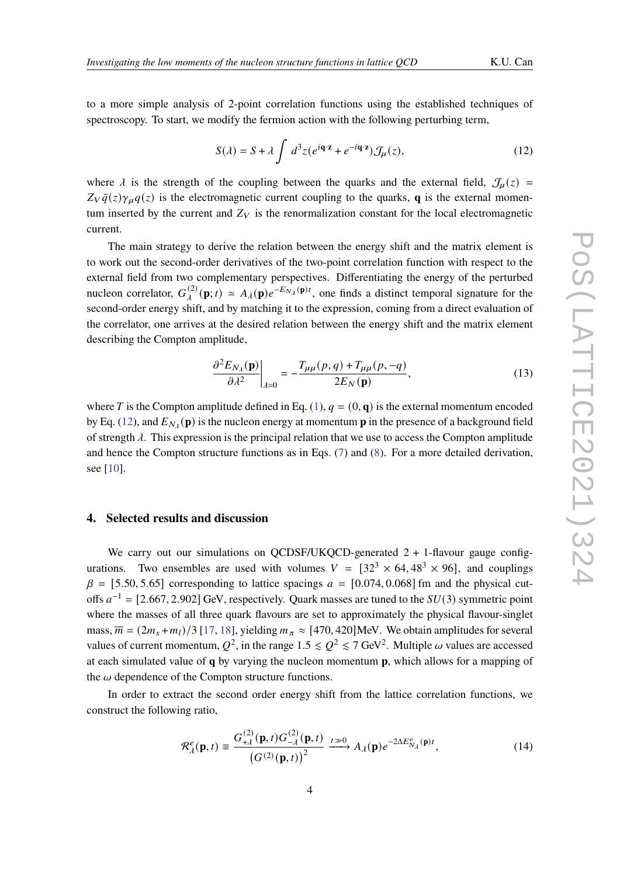to a more simple analysis of 2-point correlation functions using the established techniques of spectroscopy. To start, we modify the fermion action with the following perturbing term,

<span id="page-3-0"></span>
$$
S(\lambda) = S + \lambda \int d^3 z (e^{i\mathbf{q} \cdot \mathbf{z}} + e^{-i\mathbf{q} \cdot \mathbf{z}}) \mathcal{J}_{\mu}(z), \qquad (12)
$$

where  $\lambda$  is the strength of the coupling between the quarks and the external field,  $\mathcal{J}_u(z)$  =  $Z_V \bar{q}(z) \gamma_\mu q(z)$  is the electromagnetic current coupling to the quarks, **q** is the external momentum inserted by the current and  $Z_V$  is the renormalization constant for the local electromagnetic current.

The main strategy to derive the relation between the energy shift and the matrix element is to work out the second-order derivatives of the two-point correlation function with respect to the external field from two complementary perspectives. Differentiating the energy of the perturbed nucleon correlator,  $G_{\lambda}^{(2)}(\mathbf{p};t) \simeq A_{\lambda}(\mathbf{p})e^{-E_{N_{\lambda}}(\mathbf{p})t}$ , one finds a distinct temporal signature for the second-order energy shift, and by matching it to the expression, coming from a direct evaluation of the correlator, one arrives at the desired relation between the energy shift and the matrix element describing the Compton amplitude,

$$
\frac{\partial^2 E_{N_\lambda}(\mathbf{p})}{\partial \lambda^2}\bigg|_{\lambda=0} = -\frac{T_{\mu\mu}(p,q) + T_{\mu\mu}(p,-q)}{2E_N(\mathbf{p})},\tag{13}
$$

where T is the Compton amplitude defined in Eq. [\(1\)](#page-1-1),  $q = (0, q)$  is the external momentum encoded by Eq. [\(12\)](#page-3-0), and  $E_{N_A}(\mathbf{p})$  is the nucleon energy at momentum  $\mathbf{p}$  in the presence of a background field of strength  $\lambda$ . This expression is the principal relation that we use to access the Compton amplitude and hence the Compton structure functions as in Eqs. [\(7\)](#page-2-2) and [\(8\)](#page-2-3). For a more detailed derivation, see [\[10\]](#page-7-6).

# **4. Selected results and discussion**

We carry out our simulations on OCDSF/UKOCD-generated  $2 + 1$ -flavour gauge configurations. Two ensembles are used with volumes  $V = [32<sup>3</sup> \times 64, 48<sup>3</sup> \times 96]$ , and couplings  $\beta = [5.50, 5.65]$  corresponding to lattice spacings  $a = [0.074, 0.068]$  fm and the physical cutoffs  $a^{-1} = [2.667, 2.902]$  GeV, respectively. Quark masses are tuned to the  $SU(3)$  symmetric point where the masses of all three quark flavours are set to approximately the physical flavour-singlet mass,  $\overline{m} = (2m_s + m_l)/3$  [\[17,](#page-7-11) [18\]](#page-7-12), yielding  $m_\pi \approx$  [470, 420]MeV. We obtain amplitudes for several values of current momentum,  $Q^2$ , in the range  $1.5 \leq Q^2 \leq 7$  GeV<sup>2</sup>. Multiple  $\omega$  values are accessed at each simulated value of **q** by varying the nucleon momentum **p**, which allows for a mapping of the  $\omega$  dependence of the Compton structure functions.

In order to extract the second order energy shift from the lattice correlation functions, we construct the following ratio,

<span id="page-3-1"></span>
$$
\mathcal{R}_{\lambda}^{e}(\mathbf{p},t) \equiv \frac{G_{+\lambda}^{(2)}(\mathbf{p},t)G_{-\lambda}^{(2)}(\mathbf{p},t)}{\left(G^{(2)}(\mathbf{p},t)\right)^{2}} \xrightarrow{t \gg 0} A_{\lambda}(\mathbf{p})e^{-2\Delta E_{N_{\lambda}}^{e}(\mathbf{p})t},
$$
\n(14)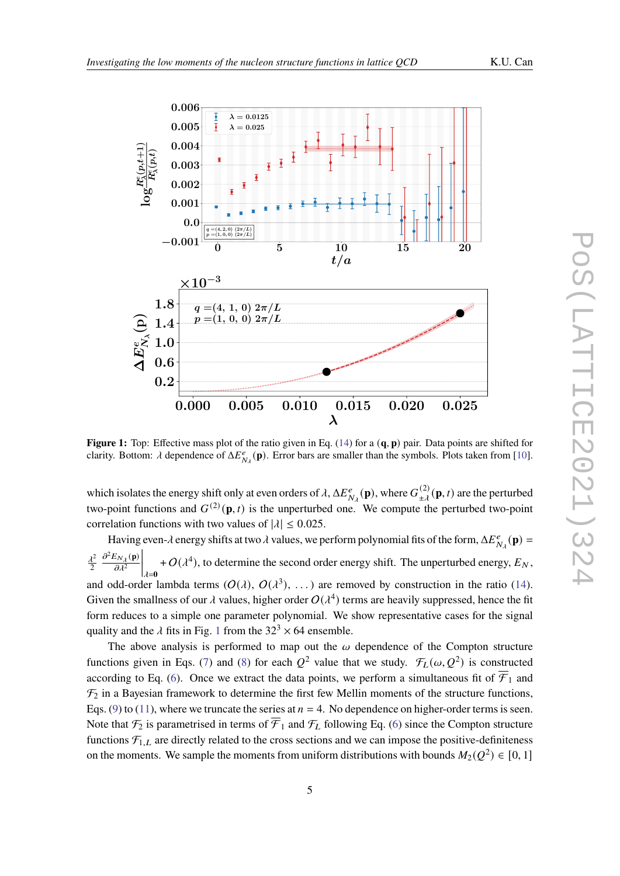<span id="page-4-0"></span>

 $\mathfrak{g}_{\mathfrak{p}}$ **Figure 1:** Top: Effective mass plot of the ratio given in Eq. [\(14\)](#page-3-1) for a  $(\mathbf{q}, \mathbf{p})$  pair. Data points are shifted for a latitude of the state of the points are shifted for a latitude of the state of the state of the clarity. Bottom:  $\lambda$  dependence of  $\Delta E_{N_{\lambda}}^{e}(\mathbf{p})$ . Error bars are smaller than the symbols. Plots taken from [\[10\]](#page-7-6).

correlation functions with two values of  $|\lambda| \le 0.025$ . two-point functions and  $G^{(2)}(\mathbf{p}, t)$  is the unperturbed one. We compute the perturbed two-point ates the en which isolates the energy shift only at even orders of  $\lambda$ ,  $\Delta E^e_{N_\lambda}(\mathbf p)$ , where  $G^{(2)}_{\pm\lambda}(\mathbf p, t)$  are the perturbed

 $2n$  $\frac{\lambda^2}{2} \left. \frac{\partial^2 E_{N_\lambda}(\mathbf{p})}{\partial \lambda^2} \right|_{\lambda = 0} + O(\lambda^4)$ , to determine the second order energy shift. The unperturbed e and odd-order lambda terms  $(O(\lambda), O(\lambda^3), ...)$  are removed by construction in the ratio [\(14\)](#page-3-1). Having even- $\lambda$  energy shifts at two  $\lambda$  values, we perform polynomial fits of the form,  $\Delta E_{N_\lambda}^e(\mathbf{p}) =$ **b**  $\frac{1}{4}$ quality and the  $\lambda$  fits in Fig. 1 from the  $32<sup>3</sup> \times 64$  ensemble. Given the smallness of our  $\lambda$  values, higher order  $O(\lambda^4)$  terms are heavily suppressed, hence the fit<br>form reduces to a simple are nonpresentatively likely representative asses for the simple 2  $\partial^2 E_{N_\lambda}(\mathbf{p})$  $\overline{\partial\lambda^2}$  $\Big|_{\lambda=0}$ +  $O(\lambda^4)$ , to determine the second order energy shift. The unperturbed energy,  $E_N$ , form reduces to a simple one parameter polynomial. We show representative cases for the signal

 $2 \cdot 10^{-4}$ Note that  $\mathcal{F}_2$  is parametrised in terms of  $\mathcal{F}_1$  and  $\mathcal{F}_L$  following Eq. [\(6\)](#page-2-4) since the Compton structure functions  $\mathcal{F}_{1,L}$  are directly related to the cross sections and we can impose the positive-definiteness Eqs. [\(9\)](#page-2-5) to [\(11\)](#page-2-6), where we truncate the series at  $n = 4$ . No dependence on higher-order terms is seen. q. (0)<br>° The above analysis is performed to map out the  $\omega$  dependence of the Compton structure<br>functions given in Eqs. [\(7\)](#page-2-2) and [\(8\)](#page-2-3) for each  $Q^2$  value that we study.  $\mathcal{F}_L(\omega, Q^2)$  is constructed The above analysis is performed to map out the  $\omega$  dependence of the Compton structure  $\mathcal{F}_2$  in a Bayesian framework to determine the first few Mellin moments of the structure functions, according to Eq. [\(6\)](#page-2-4). Once we extract the data points, we perform a simultaneous fit of  $\overline{\mathcal{F}}_1$  and on the moments. We sample the moments from uniform distributions with bounds  $M_2(Q^2) \in [0, 1]$ <br>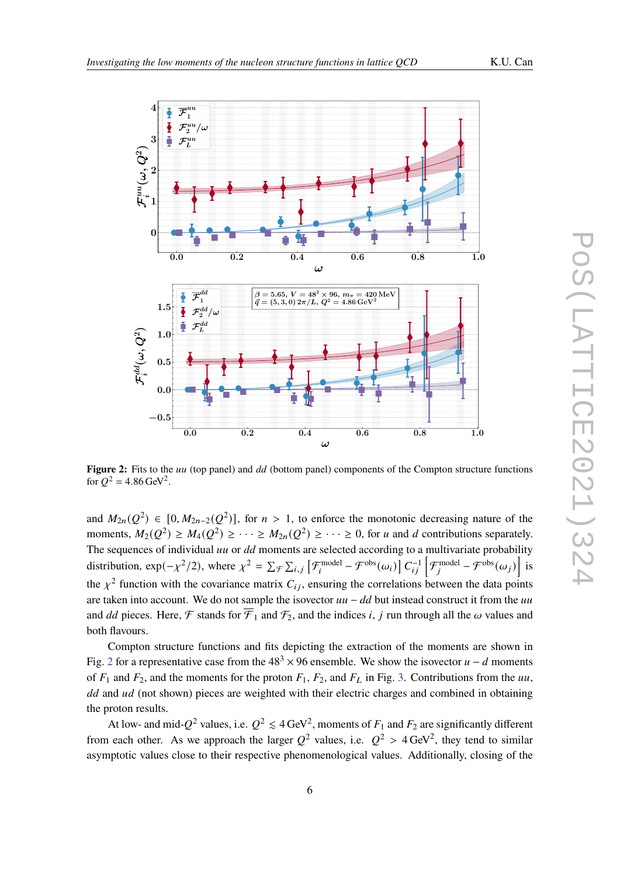<span id="page-5-0"></span>

**Figure 2:** Fits to the *uu* (top panel) and *dd* (bottom panel) components of the Compton structure functions for  $Q^2 = 4.86 \,\text{GeV}^2$ .

and  $M_{2n}(Q^2) \in [0, M_{2n-2}(Q^2)]$ , for  $n > 1$ , to enforce the monotonic decreasing nature of the moments,  $M_2(Q^2) \ge M_4(Q^2) \ge \cdots \ge M_{2n}(Q^2) \ge \cdots \ge 0$ , for *u* and *d* contributions separately. The sequences of individual  $uu$  or  $dd$  moments are selected according to a multivariate probability distribution,  $\exp(-\chi^2/2)$ , where  $\chi^2 = \sum_{\mathcal{F}} \sum_{i,j} \left[ \mathcal{F}_i^{\text{model}} - \mathcal{F}^{\text{obs}}(\omega_i) \right] C_{ij}^{-1} \left[ \mathcal{F}_i^{\text{model}} - \mathcal{F}^{\text{obs}}(\omega_j) \right]$  is the  $\chi^2$  function with the covariance matrix  $C_{ij}$ , ensuring the correlations between the data points are taken into account. We do not sample the isovector  $uu - dd$  but instead construct it from the uu and *dd* pieces. Here, F stands for  $\overline{F}_1$  and  $\mathcal{F}_2$ , and the indices *i*, *j* run through all the  $\omega$  values and both flavours.

Compton structure functions and fits depicting the extraction of the moments are shown in Fig. [2](#page-5-0) for a representative case from the  $48<sup>3</sup> \times 96$  ensemble. We show the isovector  $u - d$  moments of  $F_1$  and  $F_2$ , and the moments for the proton  $F_1$ ,  $F_2$ , and  $F_L$  in Fig. [3.](#page-6-3) Contributions from the uu,  $dd$  and  $ud$  (not shown) pieces are weighted with their electric charges and combined in obtaining the proton results.

At low- and mid- $Q^2$  values, i.e.  $Q^2 \leq 4 \text{ GeV}^2$ , moments of  $F_1$  and  $F_2$  are significantly different from each other. As we approach the larger  $Q^2$  values, i.e.  $Q^2 > 4 \text{ GeV}^2$ , they tend to similar asymptotic values close to their respective phenomenological values. Additionally, closing of the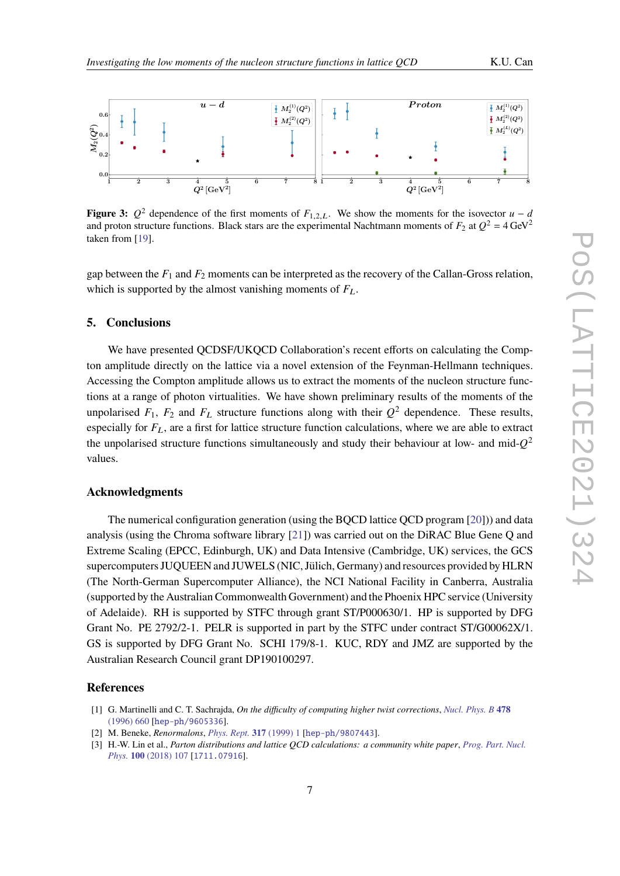<span id="page-6-3"></span>

**Figure 3:**  $Q^2$  dependence of the first moments of  $F_{1,2,L}$ . We show the moments for the isovector  $u - d$ and proton structure functions. Black stars are the experimental Nachtmann moments of  $F_2$  at  $Q^2 = 4 \text{ GeV}^2$ taken from [\[19\]](#page-7-13).

gap between the  $F_1$  and  $F_2$  moments can be interpreted as the recovery of the Callan-Gross relation, which is supported by the almost vanishing moments of  $F_L$ .

#### **5. Conclusions**

We have presented QCDSF/UKQCD Collaboration's recent efforts on calculating the Compton amplitude directly on the lattice via a novel extension of the Feynman-Hellmann techniques. Accessing the Compton amplitude allows us to extract the moments of the nucleon structure functions at a range of photon virtualities. We have shown preliminary results of the moments of the unpolarised  $F_1$ ,  $F_2$  and  $F_L$  structure functions along with their  $Q^2$  dependence. These results, especially for  $F_L$ , are a first for lattice structure function calculations, where we are able to extract the unpolarised structure functions simultaneously and study their behaviour at low- and mid- $Q^2$ values.

### **Acknowledgments**

The numerical configuration generation (using the BQCD lattice QCD program [\[20\]](#page-7-14))) and data analysis (using the Chroma software library [\[21\]](#page-7-15)) was carried out on the DiRAC Blue Gene Q and Extreme Scaling (EPCC, Edinburgh, UK) and Data Intensive (Cambridge, UK) services, the GCS supercomputers JUQUEEN and JUWELS (NIC, Jülich, Germany) and resources provided by HLRN (The North-German Supercomputer Alliance), the NCI National Facility in Canberra, Australia (supported by the Australian Commonwealth Government) and the Phoenix HPC service (University of Adelaide). RH is supported by STFC through grant ST/P000630/1. HP is supported by DFG Grant No. PE 2792/2-1. PELR is supported in part by the STFC under contract ST/G00062X/1. GS is supported by DFG Grant No. SCHI 179/8-1. KUC, RDY and JMZ are supported by the Australian Research Council grant DP190100297.

#### **References**

<span id="page-6-1"></span>[2] M. Beneke, *Renormalons*, *[Phys. Rept.](https://doi.org/10.1016/S0370-1573(98)00130-6)* **317** (1999) 1 [[hep-ph/9807443](https://arxiv.org/abs/hep-ph/9807443)].

<span id="page-6-0"></span><sup>[1]</sup> G. Martinelli and C. T. Sachrajda, *On the difficulty of computing higher twist corrections*, *[Nucl. Phys. B](https://doi.org/10.1016/0550-3213(96)00415-4)* **478** [\(1996\) 660](https://doi.org/10.1016/0550-3213(96)00415-4) [[hep-ph/9605336](https://arxiv.org/abs/hep-ph/9605336)].

<span id="page-6-2"></span><sup>[3]</sup> H.-W. Lin et al., *Parton distributions and lattice QCD calculations: a community white paper*, *[Prog. Part. Nucl.](https://doi.org/10.1016/j.ppnp.2018.01.007) Phys.* **100** [\(2018\) 107](https://doi.org/10.1016/j.ppnp.2018.01.007) [[1711.07916](https://arxiv.org/abs/1711.07916)].